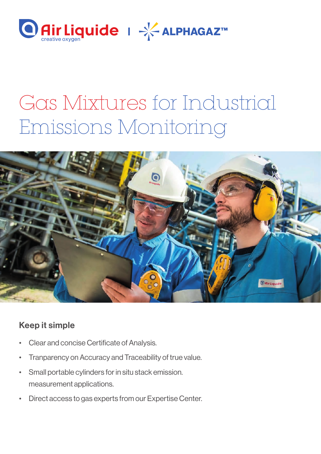

# Gas Mixtures for Industrial Emissions Monitoring



### Keep it simple

- Clear and concise Certificate of Analysis.
- Tranparency on Accuracy and Traceability of true value.
- Small portable cylinders for in situ stack emission. measurement applications.
- Direct access to gas experts from our Expertise Center.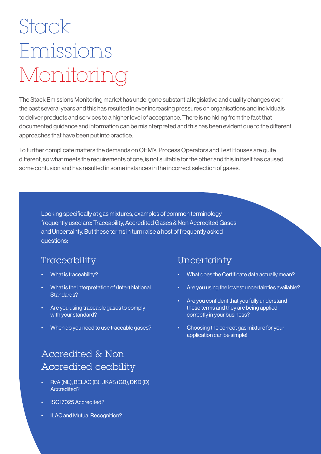# Stack Emissions Monitoring

The Stack Emissions Monitoring market has undergone substantial legislative and quality changes over the past several years and this has resulted in ever increasing pressures on organisations and individuals to deliver products and services to a higher level of acceptance. There is no hiding from the fact that documented guidance and information can be misinterpreted and this has been evident due to the different approaches that have been put into practice.

To further complicate matters the demands on OEM's, Process Operators and Test Houses are quite different, so what meets the requirements of one, is not suitable for the other and this in itself has caused some confusion and has resulted in some instances in the incorrect selection of gases.

Looking specifically at gas mixtures, examples of common terminology frequently used are: Traceability, Accredited Gases & Non Accredited Gases and Uncertainty. But these terms in turn raise a host of frequently asked questions:

### Traceability Uncertainty

- What is traceability?
- What is the interpretation of (Inter) National Standards?
- Are you using traceable gases to comply with your standard?
- When do you need to use traceable gases?

### Accredited & Non Accredited ceability

- RvA (NL), BELAC (B), UKAS (GB), DKD (D) Accredited?
- ISO17025 Accredited?
- ILAC and Mutual Recognition?

- What does the Certificate data actually mean?
- Are you using the lowest uncertainties available?
- Are you confident that you fully understand these terms and they are being applied correctly in your business?
- Choosing the correct gas mixture for your application can be simple!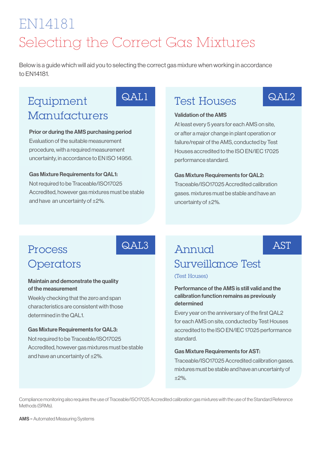## EN14181 Selecting the Correct Gas Mixtures

Below is a guide which will aid you to selecting the correct gas mixture when working in accordance to EN14181.

## Equipment **Manufacturers**

## QAL1

QAL3

### Prior or during the AMS purchasing period

Evaluation of the suitable measurement procedure, with a required measurement uncertainty, in accordance to EN ISO 14956.

### Gas Mixture Requirements for QAL1:

Not required to be Traceable/ISO17025 Accredited, however gas mixtures must be stable and have an uncertainty of ±2%.

### Test Houses

## $QAI.2$

**AST** 

### Validation of the AMS

At least every 5 years for each AMS on site, or after a major change in plant operation or failure/repair of the AMS, conducted by Test Houses accredited to the ISO EN/IEC 17025 performance standard.

### Gas Mixture Requirements for QAL2:

Traceable/ISO17025 Accredited calibration gases. mixtures must be stable and have an uncertainty of ±2%.

### Process **Operators**

### Maintain and demonstrate the quality of the measurement

Weekly checking that the zero and span characteristics are consistent with those determined in the QAL1.

### Gas Mixture Requirements for QAL3:

Not required to be Traceable/ISO17025 Accredited, however gas mixtures must be stable and have an uncertainty of ±2%.

## Annual

## Surveillance Test

(Test Houses)

### Performance of the AMS is still valid and the calibration function remains as previously determined

Every year on the anniversary of the first QAL2 for each AMS on site, conducted by Test Houses accredited to the ISO EN/IEC 17025 performance standard.

#### Gas Mixture Requirements for AST:

Traceable/ISO17025 Accredited calibration gases. mixtures must be stable and have an uncertainty of ±2%.

Compliance monitoring also requires the use of Traceable/ISO17025 Accredited calibration gas mixtures with the use of the Standard Reference Methods (SRMs).

AMS = Automated Measuring Systems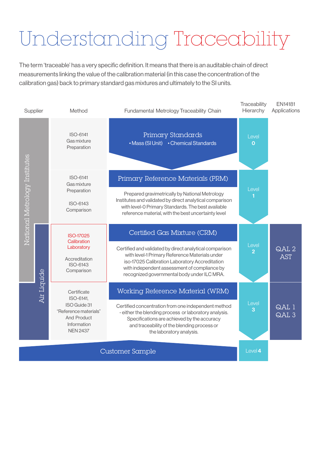# Understanding Traceability

The term 'traceable' has a very specific definition. It means that there is an auditable chain of direct measurements linking the value of the calibration material (in this case the concentration of the calibration gas) back to primary standard gas mixtures and ultimately to the SI units.

| Supplier                      |             | Method                                                                                                                    | Fundamental Metrology Traceability Chain                                                                                                                                                                                                                   | Traceability<br>Hierarchy | <b>EN14181</b><br>Applications |
|-------------------------------|-------------|---------------------------------------------------------------------------------------------------------------------------|------------------------------------------------------------------------------------------------------------------------------------------------------------------------------------------------------------------------------------------------------------|---------------------------|--------------------------------|
|                               |             | <b>ISO-6141</b><br>Gas mixture<br>Preparation                                                                             | Primary Standards<br>• Mass (SI Unit) • Chemical Standards                                                                                                                                                                                                 | Level<br>O                |                                |
| National Metrology Institutes |             | ISO-6141<br>Gas mixture                                                                                                   | Primary Reference Materials (PRM)                                                                                                                                                                                                                          | Level                     |                                |
|                               |             | Preparation<br>ISO-6143<br>Comparison                                                                                     | Prepared gravimetrically by National Metrology<br>Institutes and validated by direct analytical comparison<br>with level-0 Primary Standards. The best available<br>reference material, with the best uncertainty level                                    |                           |                                |
|                               | Air Liquide | <b>ISO-17025</b><br>Calibration                                                                                           | Certified Gas Mixture (CRM)                                                                                                                                                                                                                                |                           |                                |
|                               |             | Laboratory<br>Accreditation<br><b>ISO-6143</b><br>Comparison                                                              | Certified and validated by direct analytical comparison<br>with level-1 Primary Reference Materials under<br>iso-17025 Calibration Laboratory Accreditation<br>with independent assessment of compliance by<br>recognized governmental body under ILC MRA. | Level<br>2                | QAL <sub>2</sub><br><b>AST</b> |
|                               |             | Certificate<br>ISO-6141,<br>ISO Guide 31<br>"Reference materials"<br><b>And Product</b><br>Information<br><b>NEN 2437</b> | Working Reference Material (WRM)                                                                                                                                                                                                                           |                           |                                |
|                               |             |                                                                                                                           | Certified concentration from one independent method<br>- either the blending process or laboratory analysis.<br>Specifications are achieved by the accuracy<br>and traceability of the blending process or<br>the laboratory analysis.                     | Level<br>3                | QAL 1<br>QAL <sub>3</sub>      |
|                               |             |                                                                                                                           | Customer Sample                                                                                                                                                                                                                                            | Level 4                   |                                |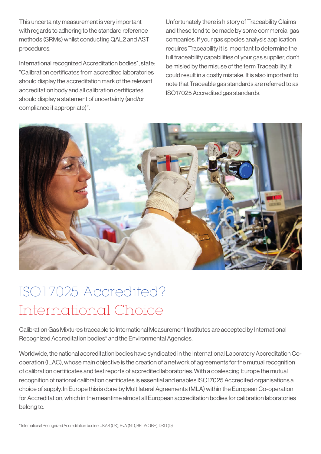This uncertainty measurement is very important with regards to adhering to the standard reference methods (SRMs) whilst conducting QAL2 and AST procedures.

International recognized Accreditation bodies\*, state: "Calibration certificates from accredited laboratories should display the accreditation mark of the relevant accreditation body and all calibration certificates should display a statement of uncertainty (and/or compliance if appropriate)".

Unfortunately there is history of Traceability Claims and these tend to be made by some commercial gas companies. If your gas species analysis application requires Traceability it is important to determine the full traceability capabilities of your gas supplier, don't be misled by the misuse of the term Traceability, it could result in a costly mistake. It is also important to note that Traceable gas standards are referred to as ISO17025 Accredited gas standards.



## ISO17025 Accredited? International Choice

Calibration Gas Mixtures traceable to International Measurement Institutes are accepted by International Recognized Accreditation bodies\* and the Environmental Agencies.

Worldwide, the national accreditation bodies have syndicated in the International Laboratory Accreditation Cooperation (ILAC), whose main objective is the creation of a network of agreements for the mutual recognition of calibration certificates and test reports of accredited laboratories. With a coalescing Europe the mutual recognition of national calibration certificates is essential and enables ISO17025 Accredited organisations a choice of supply. In Europe this is done by Multilateral Agreements (MLA) within the European Co-operation for Accreditation, which in the meantime almost all European accreditation bodies for calibration laboratories belong to.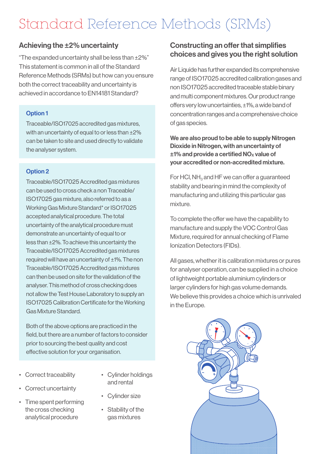## Standard Reference Methods (SRMs)

### Achieving the ±2% uncertainty

"The expanded uncertainty shall be less than ±2%" This statement is common in all of the Standard Reference Methods (SRMs) but how can you ensure both the correct traceability and uncertainty is achieved in accordance to EN14181 Standard?

### Option 1

Traceable/ISO17025 accredited gas mixtures, with an uncertainty of equal to or less than ±2% can be taken to site and used directly to validate the analyser system.

### Option 2

Traceable/ISO17025 Accredited gas mixtures can be used to cross check a non Traceable/ ISO17025 gas mixture, also referred to as a Working Gas Mixture Standard\* or ISO17025 accepted analytical procedure. The total uncertainty of the analytical procedure must demonstrate an uncertainty of equal to or less than ±2%. To achieve this uncertainty the Traceable/ISO17025 Accredited gas mixtures required will have an uncertainty of ±1%. The non Traceable/ISO17025 Accredited gas mixtures can then be used on site for the validation of the analyser. This method of cross checking does not allow the Test House Laboratory to supply an ISO17025 Calibration Certificate for the Working Gas Mixture Standard.

Both of the above options are practiced in the field, but there are a number of factors to consider prior to sourcing the best quality and cost effective solution for your organisation.

- Correct traceability
- Cylinder holdings and rental
- Correct uncertainty
- Time spent performing the cross checking analytical procedure
- Cylinder size
- Stability of the gas mixtures

### Constructing an offer that simplifies choices and gives you the right solution

Air Liquide has further expanded its comprehensive range of ISO17025 accredited calibration gases and non ISO17025 accredited traceable stable binary and multi component mixtures. Our product range offers very low uncertainties, ±1%, a wide band of concentration ranges and a comprehensive choice of gas species.

We are also proud to be able to supply Nitrogen Dioxide in Nitrogen, with an uncertainty of  $\pm$ 1% and provide a certified NO<sub>x</sub> value of your accredited or non-accredited mixture.

For HCl,  $NH<sub>3</sub>$  and HF we can offer a quaranteed stability and bearing in mind the complexity of manufacturing and utilizing this particular gas mixture.

To complete the offer we have the capability to manufacture and supply the VOC Control Gas Mixture, required for annual checking of Flame Ionization Detectors (FIDs).

All gases, whether it is calibration mixtures or pures for analyser operation, can be supplied in a choice of lightweight portable aluminium cylinders or larger cylinders for high gas volume demands. We believe this provides a choice which is unrivaled in the Europe.

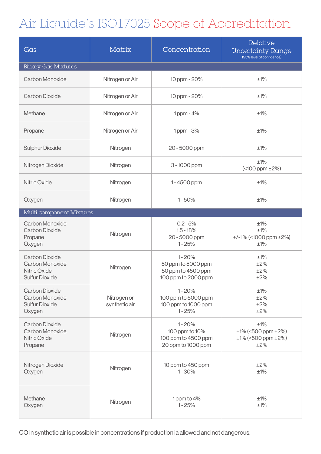## Air Liquide's ISO17025 Scope of Accreditation

| Gas                                                                                      | Matrix                       | Concentration                                                                | Relative<br><b>Uncertainty Range</b><br>(95% level of confidence)       |  |  |  |  |
|------------------------------------------------------------------------------------------|------------------------------|------------------------------------------------------------------------------|-------------------------------------------------------------------------|--|--|--|--|
| <b>Binary Gas Mixtures</b>                                                               |                              |                                                                              |                                                                         |  |  |  |  |
| Carbon Monoxide                                                                          | Nitrogen or Air              | 10 ppm - 20%                                                                 | ±1%                                                                     |  |  |  |  |
| <b>Carbon Dioxide</b>                                                                    | Nitrogen or Air              | 10 ppm - 20%                                                                 | ±1%                                                                     |  |  |  |  |
| Methane                                                                                  | Nitrogen or Air              | 1ppm - 4%                                                                    | ±1%                                                                     |  |  |  |  |
| Propane                                                                                  | Nitrogen or Air              | 1ppm - 3%                                                                    | ±1%                                                                     |  |  |  |  |
| <b>Sulphur Dioxide</b>                                                                   | Nitrogen                     | 20 - 5000 ppm                                                                | ±1%                                                                     |  |  |  |  |
| Nitrogen Dioxide                                                                         | Nitrogen                     | 3 - 1000 ppm                                                                 | ±1%<br>$($ < 100 ppm $\pm$ 2%)                                          |  |  |  |  |
| <b>Nitric Oxide</b>                                                                      | Nitrogen                     | 1-4500 ppm                                                                   | ±1%                                                                     |  |  |  |  |
| Oxygen                                                                                   | Nitrogen                     | $1 - 50%$                                                                    | ±1%                                                                     |  |  |  |  |
| Multi component Mixtures                                                                 |                              |                                                                              |                                                                         |  |  |  |  |
| Carbon Monoxide<br><b>Carbon Dioxide</b><br>Propane<br>Oxygen                            | Nitrogen                     | $0.2 - 5%$<br>$1.5 - 18%$<br>20 - 5000 ppm<br>$1 - 25%$                      | ±1%<br>±1%<br>$+$ /-1% (<1000 ppm $\pm$ 2%)<br>±1%                      |  |  |  |  |
| <b>Carbon Dioxide</b><br>Carbon Monoxide<br><b>Nitric Oxide</b><br><b>Sulfur Dioxide</b> | Nitrogen                     | $1 - 20%$<br>50 ppm to 5000 ppm<br>50 ppm to 4500 ppm<br>100 ppm to 2000 ppm | ±1%<br>±2%<br>±2%<br>$\pm 2\%$                                          |  |  |  |  |
| <b>Carbon Dioxide</b><br>Carbon Monoxide<br><b>Sulfur Dioxide</b><br>Oxygen              | Nitrogen or<br>synthetic air | $1 - 20%$<br>100 ppm to 5000 ppm<br>100 ppm to 1000 ppm<br>$1 - 25%$         | ±1%<br>±2%<br>±2%<br>±2%                                                |  |  |  |  |
| <b>Carbon Dioxide</b><br>Carbon Monoxide<br>Nitric Oxide<br>Propane                      | Nitrogen                     | $1 - 20%$<br>100 ppm to 10%<br>100 ppm to 4500 ppm<br>20 ppm to 1000 ppm     | ±1%<br>$±1\%$ (<500 ppm $±2\%$ )<br>$\pm$ 1% (<500 ppm $\pm$ 2%)<br>±2% |  |  |  |  |
| Nitrogen Dioxide<br>Oxygen                                                               | Nitrogen                     | 10 ppm to 450 ppm<br>$1 - 30%$                                               | ±2%<br>±1%                                                              |  |  |  |  |
| Methane<br>Oxygen                                                                        | Nitrogen                     | 1 ppm to 4%<br>$1 - 25%$                                                     | $±1\%$<br>$\pm 1\%$                                                     |  |  |  |  |